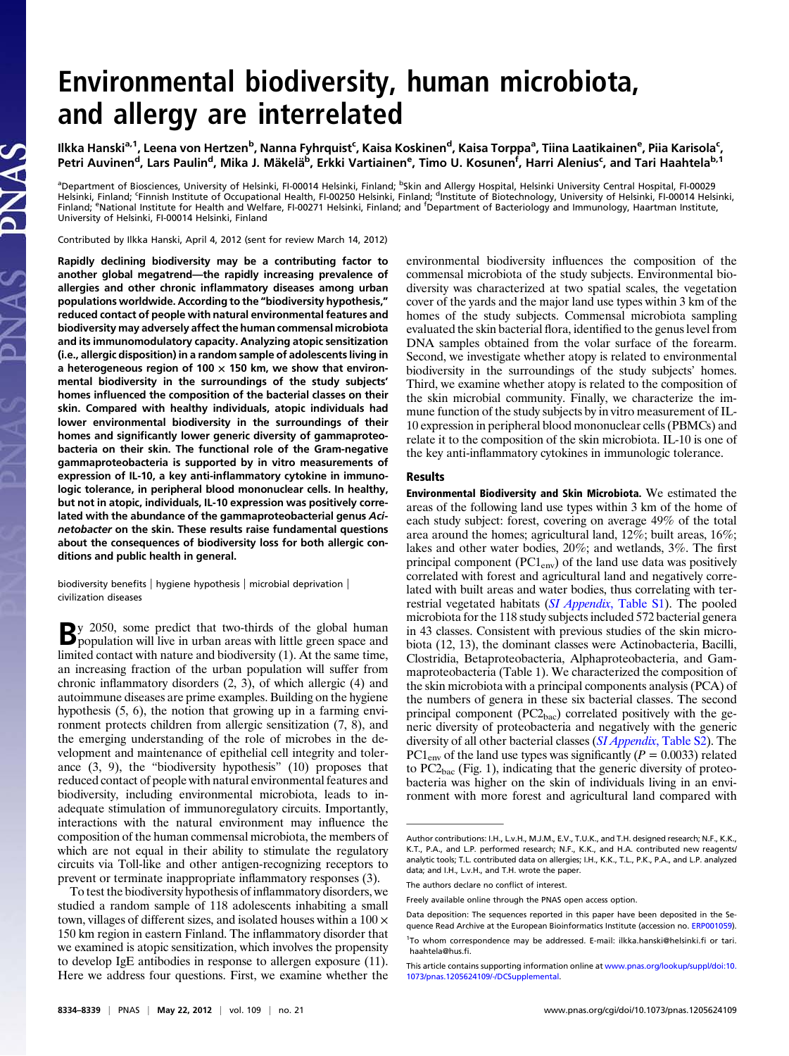# Environmental biodiversity, human microbiota, and allergy are interrelated

Ilkka Hanski<sup>a,1</sup>, Leena von Hertzen<sup>b</sup>, Nanna Fyhrquist<sup>c</sup>, Kaisa Koskinen<sup>d</sup>, Kaisa Torppa<sup>a</sup>, Tiina Laatikainen<sup>e</sup>, Piia Karisola<sup>c</sup>, Petri Auvinen<sup>d</sup>, Lars Paulin<sup>d</sup>, Mika J. Mäkelä<sup>b</sup>, Erkki Vartiainen<sup>e</sup>, Timo U. Kosunen<sup>f</sup>, Harri Alenius<sup>c</sup>, and Tari Haahtela<sup>b, 1</sup>

<sup>a</sup>Department of Biosciences, University of Helsinki, FI-00014 Helsinki, Finland; <sup>b</sup>Skin and Allergy Hospital, Helsinki University Central Hospital, FI-00029 Helsinki, Finland; <sup>c</sup>Finnish Institute of Occupational Health, FI-00250 Helsinki, Finland; <sup>d</sup>Institute of Biotechnology, University of Helsinki, FI-00014 Helsinki, Finland; <sup>e</sup>National Institute for Health and Welfare, FI-00271 Helsinki, Finland; and <sup>f</sup>Department of Bacteriology and Immunology, Haartman Institute, University of Helsinki, FI-00014 Helsinki, Finland

Contributed by Ilkka Hanski, April 4, 2012 (sent for review March 14, 2012)

Rapidly declining biodiversity may be a contributing factor to another global megatrend—the rapidly increasing prevalence of allergies and other chronic inflammatory diseases among urban populations worldwide. According to the "biodiversity hypothesis," reduced contact of people with natural environmental features and biodiversity may adversely affect the human commensal microbiota and its immunomodulatory capacity. Analyzing atopic sensitization (i.e., allergic disposition) in a random sample of adolescents living in a heterogeneous region of 100  $\times$  150 km, we show that environmental biodiversity in the surroundings of the study subjects' homes influenced the composition of the bacterial classes on their skin. Compared with healthy individuals, atopic individuals had lower environmental biodiversity in the surroundings of their homes and significantly lower generic diversity of gammaproteobacteria on their skin. The functional role of the Gram-negative gammaproteobacteria is supported by in vitro measurements of expression of IL-10, a key anti-inflammatory cytokine in immunologic tolerance, in peripheral blood mononuclear cells. In healthy, but not in atopic, individuals, IL-10 expression was positively correlated with the abundance of the gammaproteobacterial genus Acinetobacter on the skin. These results raise fundamental questions about the consequences of biodiversity loss for both allergic conditions and public health in general.

biodiversity benefits | hygiene hypothesis | microbial deprivation | civilization diseases

By 2050, some predict that two-thirds of the global human<br>population will live in urban areas with little green space and limited contact with nature and biodiversity (1). At the same time, an increasing fraction of the urban population will suffer from chronic inflammatory disorders (2, 3), of which allergic (4) and autoimmune diseases are prime examples. Building on the hygiene hypothesis (5, 6), the notion that growing up in a farming environment protects children from allergic sensitization (7, 8), and the emerging understanding of the role of microbes in the development and maintenance of epithelial cell integrity and tolerance (3, 9), the "biodiversity hypothesis" (10) proposes that reduced contact of people with natural environmental features and biodiversity, including environmental microbiota, leads to inadequate stimulation of immunoregulatory circuits. Importantly, interactions with the natural environment may influence the composition of the human commensal microbiota, the members of which are not equal in their ability to stimulate the regulatory circuits via Toll-like and other antigen-recognizing receptors to prevent or terminate inappropriate inflammatory responses (3).

To test the biodiversity hypothesis of inflammatory disorders, we studied a random sample of 118 adolescents inhabiting a small town, villages of different sizes, and isolated houses within a 100 × 150 km region in eastern Finland. The inflammatory disorder that we examined is atopic sensitization, which involves the propensity to develop IgE antibodies in response to allergen exposure (11). Here we address four questions. First, we examine whether the environmental biodiversity influences the composition of the commensal microbiota of the study subjects. Environmental biodiversity was characterized at two spatial scales, the vegetation cover of the yards and the major land use types within 3 km of the homes of the study subjects. Commensal microbiota sampling evaluated the skin bacterial flora, identified to the genus level from DNA samples obtained from the volar surface of the forearm. Second, we investigate whether atopy is related to environmental biodiversity in the surroundings of the study subjects' homes. Third, we examine whether atopy is related to the composition of the skin microbial community. Finally, we characterize the immune function of the study subjects by in vitro measurement of IL-10 expression in peripheral blood mononuclear cells (PBMCs) and relate it to the composition of the skin microbiota. IL-10 is one of the key anti-inflammatory cytokines in immunologic tolerance.

#### Results

Environmental Biodiversity and Skin Microbiota. We estimated the areas of the following land use types within 3 km of the home of each study subject: forest, covering on average 49% of the total area around the homes; agricultural land, 12%; built areas, 16%; lakes and other water bodies, 20%; and wetlands, 3%. The first principal component  $(PC1_{env})$  of the land use data was positively correlated with forest and agricultural land and negatively correlated with built areas and water bodies, thus correlating with terrestrial vegetated habitats (SI Appendix[, Table S1\)](http://www.pnas.org/lookup/suppl/doi:10.1073/pnas.1205624109/-/DCSupplemental/sapp.pdf). The pooled microbiota for the 118 study subjects included 572 bacterial genera in 43 classes. Consistent with previous studies of the skin microbiota (12, 13), the dominant classes were Actinobacteria, Bacilli, Clostridia, Betaproteobacteria, Alphaproteobacteria, and Gammaproteobacteria (Table 1). We characterized the composition of the skin microbiota with a principal components analysis (PCA) of the numbers of genera in these six bacterial classes. The second principal component  $(PC2<sub>bac</sub>)$  correlated positively with the generic diversity of proteobacteria and negatively with the generic diversity of all other bacterial classes (*SI Appendix*[, Table S2\)](http://www.pnas.org/lookup/suppl/doi:10.1073/pnas.1205624109/-/DCSupplemental/sapp.pdf). The  $PC1_{env}$  of the land use types was significantly ( $P = 0.0033$ ) related to  $PC2<sub>bac</sub>$  (Fig. 1), indicating that the generic diversity of proteobacteria was higher on the skin of individuals living in an environment with more forest and agricultural land compared with

Author contributions: I.H., L.v.H., M.J.M., E.V., T.U.K., and T.H. designed research; N.F., K.K., K.T., P.A., and L.P. performed research; N.F., K.K., and H.A. contributed new reagents/ analytic tools; T.L. contributed data on allergies; I.H., K.K., T.L., P.K., P.A., and L.P. analyzed data; and I.H., L.v.H., and T.H. wrote the paper.

The authors declare no conflict of interest.

Freely available online through the PNAS open access option.

Data deposition: The sequences reported in this paper have been deposited in the Sequence Read Archive at the European Bioinformatics Institute (accession no. [ERP001059\)](http://www.ebi.ac.uk/ena/data/view/ERP001059).

<sup>1</sup> To whom correspondence may be addressed. E-mail: [ilkka.hanski@helsinki.](mailto:ilkka.hanski@helsinki.fi)fi or [tari.](mailto:tari.haahtela@hus.fi) [haahtela@hus.](mailto:tari.haahtela@hus.fi)fi.

This article contains supporting information online at [www.pnas.org/lookup/suppl/doi:10.](http://www.pnas.org/lookup/suppl/doi:10.1073/pnas.1205624109/-/DCSupplemental) [1073/pnas.1205624109/-/DCSupplemental.](http://www.pnas.org/lookup/suppl/doi:10.1073/pnas.1205624109/-/DCSupplemental)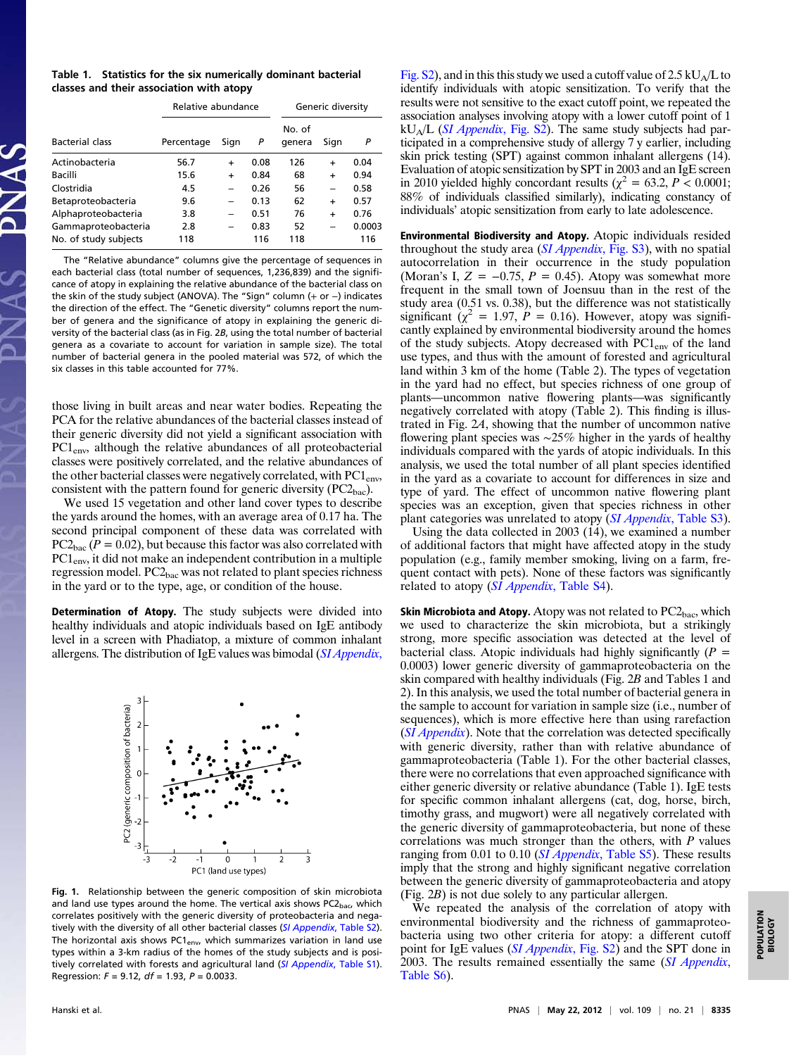|  | Table 1. Statistics for the six numerically dominant bacterial |  |
|--|----------------------------------------------------------------|--|
|  | classes and their association with atopy                       |  |

|                        | Relative abundance |           |      | Generic diversity |                          |        |
|------------------------|--------------------|-----------|------|-------------------|--------------------------|--------|
| <b>Bacterial class</b> | Percentage         | Sign      | P    | No. of<br>genera  | Sign                     | P      |
| Actinobacteria         | 56.7               | $\ddot{}$ | 0.08 | 126               | $\ddot{}$                | 0.04   |
| Bacilli                | 15.6               | $\ddot{}$ | 0.84 | 68                | $\ddot{}$                | 0.94   |
| Clostridia             | 4.5                |           | 0.26 | 56                | $\overline{\phantom{0}}$ | 0.58   |
| Betaproteobacteria     | 9.6                |           | 0.13 | 62                | $\ddot{}$                | 0.57   |
| Alphaproteobacteria    | 3.8                |           | 0.51 | 76                | $\ddot{}$                | 0.76   |
| Gammaproteobacteria    | 2.8                |           | 0.83 | 52                |                          | 0.0003 |
| No. of study subjects  | 118                |           | 116  | 118               |                          | 116    |

The "Relative abundance" columns give the percentage of sequences in each bacterial class (total number of sequences, 1,236,839) and the significance of atopy in explaining the relative abundance of the bacterial class on the skin of the study subject (ANOVA). The "Sign" column (+ or −) indicates the direction of the effect. The "Genetic diversity" columns report the number of genera and the significance of atopy in explaining the generic diversity of the bacterial class (as in Fig. 2B, using the total number of bacterial genera as a covariate to account for variation in sample size). The total number of bacterial genera in the pooled material was 572, of which the six classes in this table accounted for 77%.

those living in built areas and near water bodies. Repeating the PCA for the relative abundances of the bacterial classes instead of their generic diversity did not yield a significant association with PC1<sub>env</sub>, although the relative abundances of all proteobacterial classes were positively correlated, and the relative abundances of the other bacterial classes were negatively correlated, with  $\text{PC1}_{env}$ , consistent with the pattern found for generic diversity  $(PC2<sub>bac</sub>)$ .

We used 15 vegetation and other land cover types to describe the yards around the homes, with an average area of 0.17 ha. The second principal component of these data was correlated with  $PC2<sub>bac</sub>$  ( $P = 0.02$ ), but because this factor was also correlated with PC1env, it did not make an independent contribution in a multiple regression model.  $PC2<sub>bac</sub>$  was not related to plant species richness in the yard or to the type, age, or condition of the house.

Determination of Atopy. The study subjects were divided into healthy individuals and atopic individuals based on IgE antibody level in a screen with Phadiatop, a mixture of common inhalant allergens. The distribution of IgE values was bimodal (*[SI Appendix](http://www.pnas.org/lookup/suppl/doi:10.1073/pnas.1205624109/-/DCSupplemental/sapp.pdf)*,



Fig. 1. Relationship between the generic composition of skin microbiota and land use types around the home. The vertical axis shows  $PC2<sub>bac</sub>$ , which correlates positively with the generic diversity of proteobacteria and nega-tively with the diversity of all other bacterial classes ([SI Appendix](http://www.pnas.org/lookup/suppl/doi:10.1073/pnas.1205624109/-/DCSupplemental/sapp.pdf), Table S2). The horizontal axis shows PC1<sub>env</sub>, which summarizes variation in land use types within a 3-km radius of the homes of the study subjects and is posi-tively correlated with forests and agricultural land ([SI Appendix](http://www.pnas.org/lookup/suppl/doi:10.1073/pnas.1205624109/-/DCSupplemental/sapp.pdf), Table S1). Regression:  $F = 9.12$ ,  $df = 1.93$ ,  $P = 0.0033$ .

[Fig. S2\)](http://www.pnas.org/lookup/suppl/doi:10.1073/pnas.1205624109/-/DCSupplemental/sapp.pdf), and in this this study we used a cutoff value of  $2.5 \text{ kU}_A/L$  to identify individuals with atopic sensitization. To verify that the results were not sensitive to the exact cutoff point, we repeated the association analyses involving atopy with a lower cutoff point of 1  $kU_A/L$  (*[SI Appendix](http://www.pnas.org/lookup/suppl/doi:10.1073/pnas.1205624109/-/DCSupplemental/sapp.pdf)*, Fig. S2). The same study subjects had participated in a comprehensive study of allergy 7 y earlier, including skin prick testing (SPT) against common inhalant allergens (14). Evaluation of atopic sensitization by SPT in 2003 and an IgE screen in 2010 yielded highly concordant results ( $\chi^2 = 63.2$ ,  $P < 0.0001$ ; 88% of individuals classified similarly), indicating constancy of individuals' atopic sensitization from early to late adolescence.

Environmental Biodiversity and Atopy. Atopic individuals resided throughout the study area (*[SI Appendix](http://www.pnas.org/lookup/suppl/doi:10.1073/pnas.1205624109/-/DCSupplemental/sapp.pdf)*, Fig. S3), with no spatial autocorrelation in their occurrence in the study population (Moran's I,  $Z = -0.75$ ,  $P = 0.45$ ). Atopy was somewhat more frequent in the small town of Joensuu than in the rest of the study area (0.51 vs. 0.38), but the difference was not statistically significant ( $\chi^2 = 1.97$ ,  $P = 0.16$ ). However, atopy was significantly explained by environmental biodiversity around the homes of the study subjects. Atopy decreased with  $PC1_{env}$  of the land use types, and thus with the amount of forested and agricultural land within 3 km of the home (Table 2). The types of vegetation in the yard had no effect, but species richness of one group of plants—uncommon native flowering plants—was significantly negatively correlated with atopy (Table 2). This finding is illustrated in Fig. 2A, showing that the number of uncommon native flowering plant species was ∼25% higher in the yards of healthy individuals compared with the yards of atopic individuals. In this analysis, we used the total number of all plant species identified in the yard as a covariate to account for differences in size and type of yard. The effect of uncommon native flowering plant species was an exception, given that species richness in other plant categories was unrelated to atopy (SI Appendix[, Table S3](http://www.pnas.org/lookup/suppl/doi:10.1073/pnas.1205624109/-/DCSupplemental/sapp.pdf)).

Using the data collected in 2003 (14), we examined a number of additional factors that might have affected atopy in the study population (e.g., family member smoking, living on a farm, frequent contact with pets). None of these factors was significantly related to atopy (SI Appendix[, Table S4](http://www.pnas.org/lookup/suppl/doi:10.1073/pnas.1205624109/-/DCSupplemental/sapp.pdf)).

**Skin Microbiota and Atopy.** Atopy was not related to  $PC2<sub>bac</sub>$ , which we used to characterize the skin microbiota, but a strikingly strong, more specific association was detected at the level of bacterial class. Atopic individuals had highly significantly  $(P =$ 0.0003) lower generic diversity of gammaproteobacteria on the skin compared with healthy individuals (Fig. 2B and Tables 1 and 2). In this analysis, we used the total number of bacterial genera in the sample to account for variation in sample size (i.e., number of sequences), which is more effective here than using rarefaction (*[SI Appendix](http://www.pnas.org/lookup/suppl/doi:10.1073/pnas.1205624109/-/DCSupplemental/sapp.pdf)*). Note that the correlation was detected specifically with generic diversity, rather than with relative abundance of gammaproteobacteria (Table 1). For the other bacterial classes, there were no correlations that even approached significance with either generic diversity or relative abundance (Table 1). IgE tests for specific common inhalant allergens (cat, dog, horse, birch, timothy grass, and mugwort) were all negatively correlated with the generic diversity of gammaproteobacteria, but none of these correlations was much stronger than the others, with P values ranging from 0.01 to 0.10 (*SI Appendix*[, Table S5](http://www.pnas.org/lookup/suppl/doi:10.1073/pnas.1205624109/-/DCSupplemental/sapp.pdf)). These results imply that the strong and highly significant negative correlation between the generic diversity of gammaproteobacteria and atopy (Fig. 2B) is not due solely to any particular allergen.

We repeated the analysis of the correlation of atopy with environmental biodiversity and the richness of gammaproteobacteria using two other criteria for atopy: a different cutoff point for IgE values (*[SI Appendix](http://www.pnas.org/lookup/suppl/doi:10.1073/pnas.1205624109/-/DCSupplemental/sapp.pdf)*, Fig. S2) and the SPT done in 2003. The results remained essentially the same ([SI Appendix](http://www.pnas.org/lookup/suppl/doi:10.1073/pnas.1205624109/-/DCSupplemental/sapp.pdf), [Table S6\)](http://www.pnas.org/lookup/suppl/doi:10.1073/pnas.1205624109/-/DCSupplemental/sapp.pdf).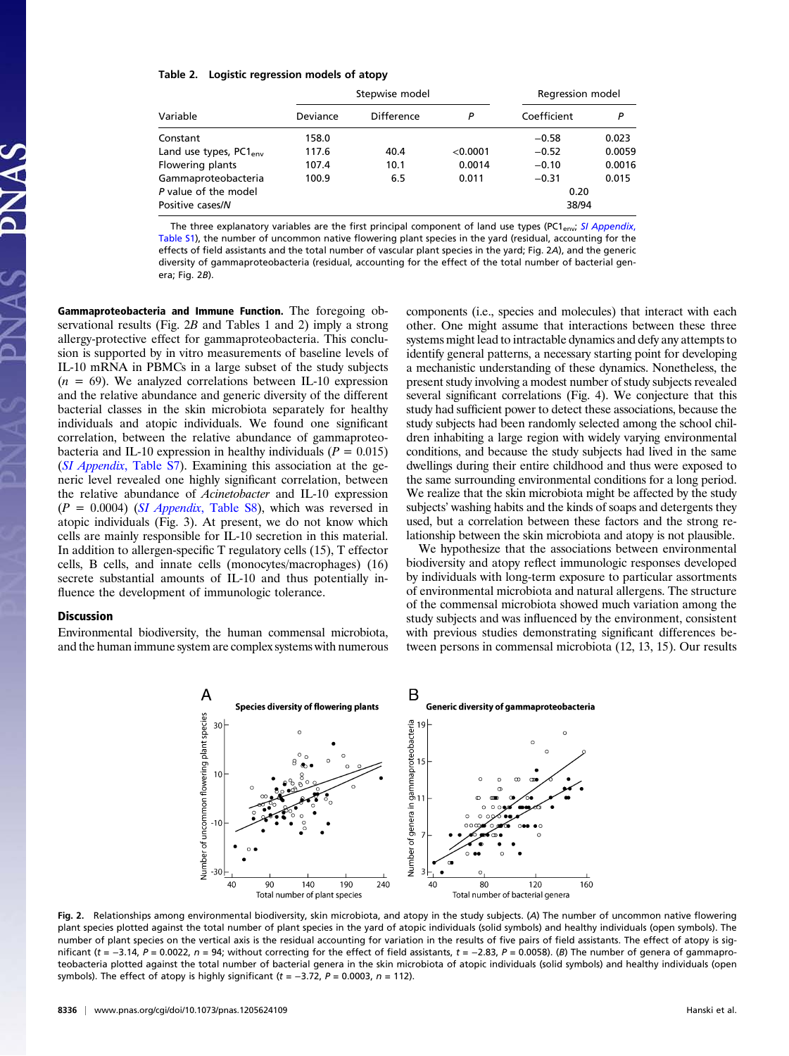#### Table 2. Logistic regression models of atopy

|                                          |          | Stepwise model | Regression model |               |        |
|------------------------------------------|----------|----------------|------------------|---------------|--------|
| Variable                                 | Deviance | Difference     | Р                | Coefficient   | Р      |
| Constant                                 | 158.0    |                |                  | $-0.58$       | 0.023  |
| Land use types, PC1 <sub>env</sub>       | 117.6    | 40.4           | < 0.0001         | $-0.52$       | 0.0059 |
| Flowering plants                         | 107.4    | 10.1           | 0.0014           | $-0.10$       | 0.0016 |
| Gammaproteobacteria                      | 100.9    | 6.5            | 0.011            | $-0.31$       | 0.015  |
| P value of the model<br>Positive cases/N |          |                |                  | 0.20<br>38/94 |        |
|                                          |          |                |                  |               |        |

The three explanatory variables are the first principal component of land use types (PC1<sub>env</sub>; [SI Appendix](http://www.pnas.org/lookup/suppl/doi:10.1073/pnas.1205624109/-/DCSupplemental/sapp.pdf), [Table S1\)](http://www.pnas.org/lookup/suppl/doi:10.1073/pnas.1205624109/-/DCSupplemental/sapp.pdf), the number of uncommon native flowering plant species in the yard (residual, accounting for the effects of field assistants and the total number of vascular plant species in the yard; Fig. 2A), and the generic diversity of gammaproteobacteria (residual, accounting for the effect of the total number of bacterial genera; Fig. 2B).

Gammaproteobacteria and Immune Function. The foregoing observational results (Fig.  $2B$  and Tables 1 and 2) imply a strong allergy-protective effect for gammaproteobacteria. This conclusion is supported by in vitro measurements of baseline levels of IL-10 mRNA in PBMCs in a large subset of the study subjects  $(n = 69)$ . We analyzed correlations between IL-10 expression and the relative abundance and generic diversity of the different bacterial classes in the skin microbiota separately for healthy individuals and atopic individuals. We found one significant correlation, between the relative abundance of gammaproteobacteria and IL-10 expression in healthy individuals ( $P = 0.015$ ) (SI Appendix[, Table S7](http://www.pnas.org/lookup/suppl/doi:10.1073/pnas.1205624109/-/DCSupplemental/sapp.pdf)). Examining this association at the generic level revealed one highly significant correlation, between the relative abundance of Acinetobacter and IL-10 expression  $(P = 0.0004)$  (*SI Appendix*[, Table S8\)](http://www.pnas.org/lookup/suppl/doi:10.1073/pnas.1205624109/-/DCSupplemental/sapp.pdf), which was reversed in atopic individuals (Fig. 3). At present, we do not know which cells are mainly responsible for IL-10 secretion in this material. In addition to allergen-specific T regulatory cells (15), T effector cells, B cells, and innate cells (monocytes/macrophages) (16) secrete substantial amounts of IL-10 and thus potentially influence the development of immunologic tolerance.

#### Discussion

Environmental biodiversity, the human commensal microbiota, and the human immune system are complex systems with numerous components (i.e., species and molecules) that interact with each other. One might assume that interactions between these three systems might lead to intractable dynamics and defy any attempts to identify general patterns, a necessary starting point for developing a mechanistic understanding of these dynamics. Nonetheless, the present study involving a modest number of study subjects revealed several significant correlations (Fig. 4). We conjecture that this study had sufficient power to detect these associations, because the study subjects had been randomly selected among the school children inhabiting a large region with widely varying environmental conditions, and because the study subjects had lived in the same dwellings during their entire childhood and thus were exposed to the same surrounding environmental conditions for a long period. We realize that the skin microbiota might be affected by the study subjects' washing habits and the kinds of soaps and detergents they used, but a correlation between these factors and the strong relationship between the skin microbiota and atopy is not plausible.

We hypothesize that the associations between environmental biodiversity and atopy reflect immunologic responses developed by individuals with long-term exposure to particular assortments of environmental microbiota and natural allergens. The structure of the commensal microbiota showed much variation among the study subjects and was influenced by the environment, consistent with previous studies demonstrating significant differences between persons in commensal microbiota (12, 13, 15). Our results



Fig. 2. Relationships among environmental biodiversity, skin microbiota, and atopy in the study subjects. (A) The number of uncommon native flowering plant species plotted against the total number of plant species in the yard of atopic individuals (solid symbols) and healthy individuals (open symbols). The number of plant species on the vertical axis is the residual accounting for variation in the results of five pairs of field assistants. The effect of atopy is significant (t =  $-3.14$ , P = 0.0022, n = 94; without correcting for the effect of field assistants, t =  $-2.83$ , P = 0.0058). (B) The number of genera of gammaproteobacteria plotted against the total number of bacterial genera in the skin microbiota of atopic individuals (solid symbols) and healthy individuals (open symbols). The effect of atopy is highly significant (t =  $-3.72$ ,  $P = 0.0003$ ,  $n = 112$ ).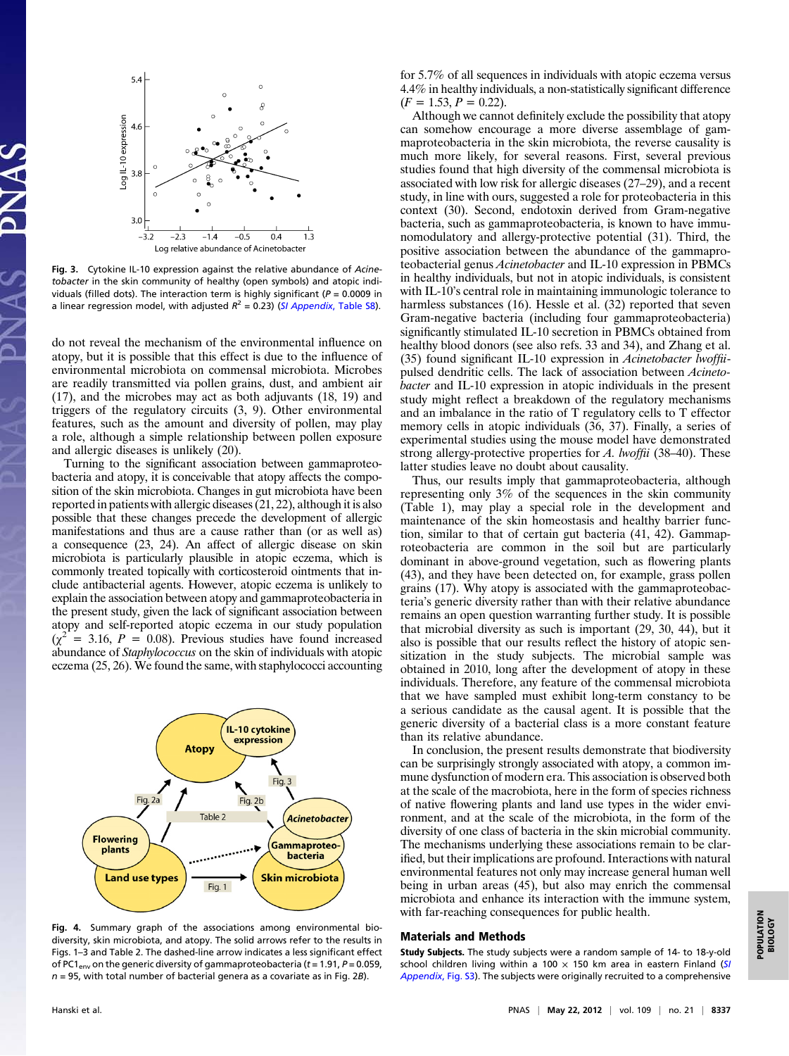

Fig. 3. Cytokine IL-10 expression against the relative abundance of Acinetobacter in the skin community of healthy (open symbols) and atopic individuals (filled dots). The interaction term is highly significant ( $P = 0.0009$  in a linear regression model, with adjusted  $R^2 = 0.23$ ) ([SI Appendix](http://www.pnas.org/lookup/suppl/doi:10.1073/pnas.1205624109/-/DCSupplemental/sapp.pdf), Table S8).

do not reveal the mechanism of the environmental influence on atopy, but it is possible that this effect is due to the influence of environmental microbiota on commensal microbiota. Microbes are readily transmitted via pollen grains, dust, and ambient air (17), and the microbes may act as both adjuvants (18, 19) and triggers of the regulatory circuits (3, 9). Other environmental features, such as the amount and diversity of pollen, may play a role, although a simple relationship between pollen exposure and allergic diseases is unlikely (20).

Turning to the significant association between gammaproteobacteria and atopy, it is conceivable that atopy affects the composition of the skin microbiota. Changes in gut microbiota have been reported in patients with allergic diseases (21, 22), although it is also possible that these changes precede the development of allergic manifestations and thus are a cause rather than (or as well as) a consequence (23, 24). An affect of allergic disease on skin microbiota is particularly plausible in atopic eczema, which is commonly treated topically with corticosteroid ointments that include antibacterial agents. However, atopic eczema is unlikely to explain the association between atopy and gammaproteobacteria in the present study, given the lack of significant association between atopy and self-reported atopic eczema in our study population  $(\chi^2 = 3.16, P = 0.08)$ . Previous studies have found increased abundance of Staphylococcus on the skin of individuals with atopic eczema (25, 26). We found the same, with staphylococci accounting



Fig. 4. Summary graph of the associations among environmental biodiversity, skin microbiota, and atopy. The solid arrows refer to the results in Figs. 1–3 and Table 2. The dashed-line arrow indicates a less significant effect of PC1<sub>env</sub> on the generic diversity of gammaproteobacteria ( $t = 1.91$ ,  $P = 0.059$ ,  $n = 95$ , with total number of bacterial genera as a covariate as in Fig. 2B).

for 5.7% of all sequences in individuals with atopic eczema versus 4.4% in healthy individuals, a non-statistically significant difference  $(F = 1.53, P = 0.22).$ 

Although we cannot definitely exclude the possibility that atopy can somehow encourage a more diverse assemblage of gammaproteobacteria in the skin microbiota, the reverse causality is much more likely, for several reasons. First, several previous studies found that high diversity of the commensal microbiota is associated with low risk for allergic diseases (27–29), and a recent study, in line with ours, suggested a role for proteobacteria in this context (30). Second, endotoxin derived from Gram-negative bacteria, such as gammaproteobacteria, is known to have immunomodulatory and allergy-protective potential (31). Third, the positive association between the abundance of the gammaproteobacterial genus Acinetobacter and IL-10 expression in PBMCs in healthy individuals, but not in atopic individuals, is consistent with IL-10's central role in maintaining immunologic tolerance to harmless substances (16). Hessle et al. (32) reported that seven Gram-negative bacteria (including four gammaproteobacteria) significantly stimulated IL-10 secretion in PBMCs obtained from healthy blood donors (see also refs. 33 and 34), and Zhang et al. (35) found significant IL-10 expression in Acinetobacter lwoffiipulsed dendritic cells. The lack of association between Acinetobacter and IL-10 expression in atopic individuals in the present study might reflect a breakdown of the regulatory mechanisms and an imbalance in the ratio of T regulatory cells to T effector memory cells in atopic individuals (36, 37). Finally, a series of experimental studies using the mouse model have demonstrated strong allergy-protective properties for A. lwoffii (38–40). These latter studies leave no doubt about causality.

Thus, our results imply that gammaproteobacteria, although representing only 3% of the sequences in the skin community (Table 1), may play a special role in the development and maintenance of the skin homeostasis and healthy barrier function, similar to that of certain gut bacteria (41, 42). Gammaproteobacteria are common in the soil but are particularly dominant in above-ground vegetation, such as flowering plants (43), and they have been detected on, for example, grass pollen grains (17). Why atopy is associated with the gammaproteobacteria's generic diversity rather than with their relative abundance remains an open question warranting further study. It is possible that microbial diversity as such is important (29, 30, 44), but it also is possible that our results reflect the history of atopic sensitization in the study subjects. The microbial sample was obtained in 2010, long after the development of atopy in these individuals. Therefore, any feature of the commensal microbiota that we have sampled must exhibit long-term constancy to be a serious candidate as the causal agent. It is possible that the generic diversity of a bacterial class is a more constant feature than its relative abundance.

In conclusion, the present results demonstrate that biodiversity can be surprisingly strongly associated with atopy, a common immune dysfunction of modern era. This association is observed both at the scale of the macrobiota, here in the form of species richness of native flowering plants and land use types in the wider environment, and at the scale of the microbiota, in the form of the diversity of one class of bacteria in the skin microbial community. The mechanisms underlying these associations remain to be clarified, but their implications are profound. Interactions with natural environmental features not only may increase general human well being in urban areas (45), but also may enrich the commensal microbiota and enhance its interaction with the immune system, with far-reaching consequences for public health.

#### Materials and Methods

Study Subjects. The study subjects were a random sample of 14- to 18-y-old school children living within a 100  $\times$  150 km area in eastern Finland ([SI](http://www.pnas.org/lookup/suppl/doi:10.1073/pnas.1205624109/-/DCSupplemental/sapp.pdf) [Appendix](http://www.pnas.org/lookup/suppl/doi:10.1073/pnas.1205624109/-/DCSupplemental/sapp.pdf), Fig. S3). The subjects were originally recruited to a comprehensive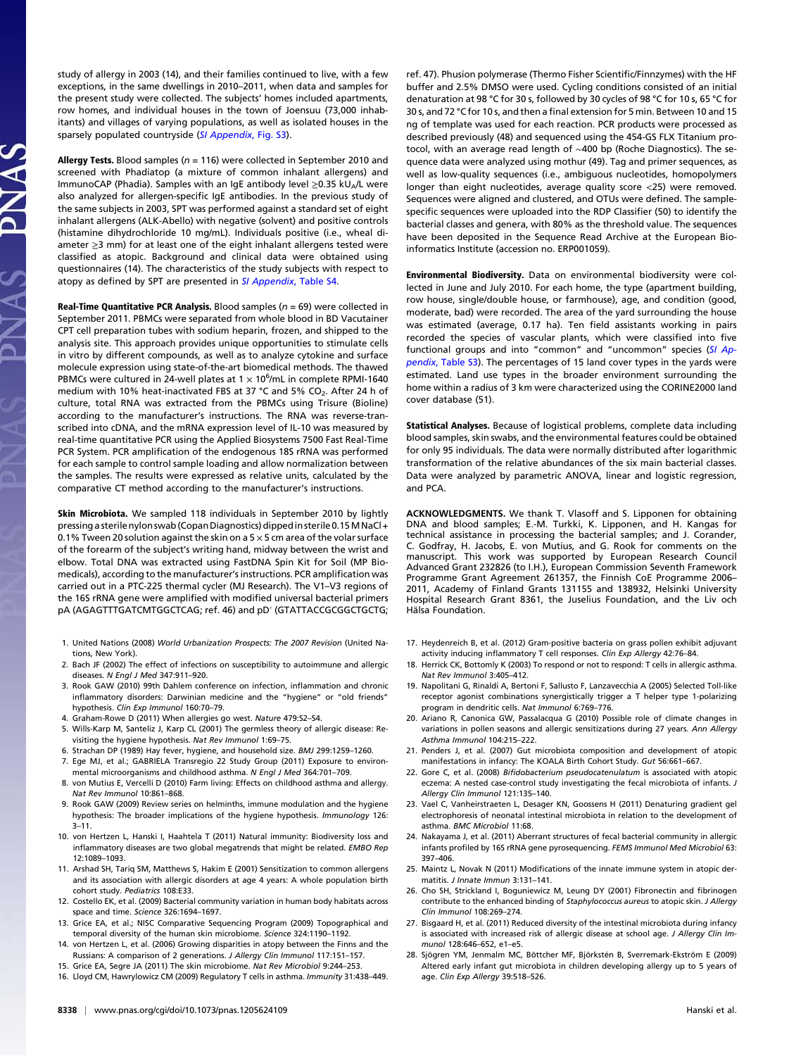study of allergy in 2003 (14), and their families continued to live, with a few exceptions, in the same dwellings in 2010–2011, when data and samples for the present study were collected. The subjects' homes included apartments, row homes, and individual houses in the town of Joensuu (73,000 inhabitants) and villages of varying populations, as well as isolated houses in the sparsely populated countryside ([SI Appendix](http://www.pnas.org/lookup/suppl/doi:10.1073/pnas.1205624109/-/DCSupplemental/sapp.pdf), Fig. S3).

Allergy Tests. Blood samples ( $n = 116$ ) were collected in September 2010 and screened with Phadiatop (a mixture of common inhalant allergens) and ImmunoCAP (Phadia). Samples with an IgE antibody level  $\geq$ 0.35 kU<sub>A</sub>/L were also analyzed for allergen-specific IgE antibodies. In the previous study of the same subjects in 2003, SPT was performed against a standard set of eight inhalant allergens (ALK-Abello) with negative (solvent) and positive controls (histamine dihydrochloride 10 mg/mL). Individuals positive (i.e., wheal diameter ≥3 mm) for at least one of the eight inhalant allergens tested were classified as atopic. Background and clinical data were obtained using questionnaires (14). The characteristics of the study subjects with respect to atopy as defined by SPT are presented in [SI Appendix](http://www.pnas.org/lookup/suppl/doi:10.1073/pnas.1205624109/-/DCSupplemental/sapp.pdf), Table S4.

**Real-Time Quantitative PCR Analysis.** Blood samples ( $n = 69$ ) were collected in September 2011. PBMCs were separated from whole blood in BD Vacutainer CPT cell preparation tubes with sodium heparin, frozen, and shipped to the analysis site. This approach provides unique opportunities to stimulate cells in vitro by different compounds, as well as to analyze cytokine and surface molecule expression using state-of-the-art biomedical methods. The thawed PBMCs were cultured in 24-well plates at 1  $\times$  10<sup>6</sup>/mL in complete RPMI-1640 medium with 10% heat-inactivated FBS at 37 °C and 5% CO<sub>2</sub>. After 24 h of culture, total RNA was extracted from the PBMCs using Trisure (Bioline) according to the manufacturer's instructions. The RNA was reverse-transcribed into cDNA, and the mRNA expression level of IL-10 was measured by real-time quantitative PCR using the Applied Biosystems 7500 Fast Real-Time PCR System. PCR amplification of the endogenous 18S rRNA was performed for each sample to control sample loading and allow normalization between the samples. The results were expressed as relative units, calculated by the comparative CT method according to the manufacturer's instructions.

Skin Microbiota. We sampled 118 individuals in September 2010 by lightly pressing a sterile nylon swab (Copan Diagnostics) dipped in sterile 0.15M NaCl + 0.1% Tween 20 solution against the skin on a  $5 \times 5$  cm area of the volar surface of the forearm of the subject's writing hand, midway between the wrist and elbow. Total DNA was extracted using FastDNA Spin Kit for Soil (MP Biomedicals), according to the manufacturer's instructions. PCR amplification was carried out in a PTC-225 thermal cycler (MJ Research). The V1–V3 regions of the 16S rRNA gene were amplified with modified universal bacterial primers pA (AGAGTTTGATCMTGGCTCAG; ref. 46) and pD′ (GTATTACCGCGGCTGCTG;

- 1. United Nations (2008) World Urbanization Prospects: The 2007 Revision (United Nations, New York).
- 2. Bach JF (2002) The effect of infections on susceptibility to autoimmune and allergic diseases. N Engl J Med 347:911–920.
- 3. Rook GAW (2010) 99th Dahlem conference on infection, inflammation and chronic inflammatory disorders: Darwinian medicine and the "hygiene" or "old friends" hypothesis. Clin Exp Immunol 160:70–79.
- 4. Graham-Rowe D (2011) When allergies go west. Nature 479:S2–S4.
- 5. Wills-Karp M, Santeliz J, Karp CL (2001) The germless theory of allergic disease: Revisiting the hygiene hypothesis. Nat Rev Immunol 1:69–75.
- 6. Strachan DP (1989) Hay fever, hygiene, and household size. BMJ 299:1259–1260.
- 7. Ege MJ, et al.; GABRIELA Transregio 22 Study Group (2011) Exposure to environmental microorganisms and childhood asthma. N Engl J Med 364:701–709.
- 8. von Mutius E, Vercelli D (2010) Farm living: Effects on childhood asthma and allergy. Nat Rev Immunol 10:861–868.
- 9. Rook GAW (2009) Review series on helminths, immune modulation and the hygiene hypothesis: The broader implications of the hygiene hypothesis. Immunology 126: 3–11.
- 10. von Hertzen L, Hanski I, Haahtela T (2011) Natural immunity: Biodiversity loss and inflammatory diseases are two global megatrends that might be related. EMBO Rep 12:1089–1093.
- 11. Arshad SH, Tariq SM, Matthews S, Hakim E (2001) Sensitization to common allergens and its association with allergic disorders at age 4 years: A whole population birth cohort study. Pediatrics 108:E33.
- 12. Costello EK, et al. (2009) Bacterial community variation in human body habitats across space and time. Science 326:1694–1697.
- 13. Grice EA, et al.; NISC Comparative Sequencing Program (2009) Topographical and temporal diversity of the human skin microbiome. Science 324:1190–1192.
- 14. von Hertzen L, et al. (2006) Growing disparities in atopy between the Finns and the Russians: A comparison of 2 generations. J Allergy Clin Immunol 117:151–157.
- 15. Grice EA, Segre JA (2011) The skin microbiome. Nat Rev Microbiol 9:244–253. 16. Lloyd CM, Hawrylowicz CM (2009) Regulatory T cells in asthma. Immunity 31:438–449.

ref. 47). Phusion polymerase (Thermo Fisher Scientific/Finnzymes) with the HF buffer and 2.5% DMSO were used. Cycling conditions consisted of an initial denaturation at 98 °C for 30 s, followed by 30 cycles of 98 °C for 10 s, 65 °C for 30 s, and 72 °C for 10 s, and then a final extension for 5 min. Between 10 and 15 ng of template was used for each reaction. PCR products were processed as described previously (48) and sequenced using the 454-GS FLX Titanium protocol, with an average read length of ∼400 bp (Roche Diagnostics). The sequence data were analyzed using mothur (49). Tag and primer sequences, as well as low-quality sequences (i.e., ambiguous nucleotides, homopolymers longer than eight nucleotides, average quality score <25) were removed. Sequences were aligned and clustered, and OTUs were defined. The samplespecific sequences were uploaded into the RDP Classifier (50) to identify the bacterial classes and genera, with 80% as the threshold value. The sequences have been deposited in the Sequence Read Archive at the European Bioinformatics Institute (accession no. ERP001059).

Environmental Biodiversity. Data on environmental biodiversity were collected in June and July 2010. For each home, the type (apartment building, row house, single/double house, or farmhouse), age, and condition (good, moderate, bad) were recorded. The area of the yard surrounding the house was estimated (average, 0.17 ha). Ten field assistants working in pairs recorded the species of vascular plants, which were classified into five functional groups and into "common" and "uncommon" species ([SI Ap](http://www.pnas.org/lookup/suppl/doi:10.1073/pnas.1205624109/-/DCSupplemental/sapp.pdf)pendix[, Table S3\)](http://www.pnas.org/lookup/suppl/doi:10.1073/pnas.1205624109/-/DCSupplemental/sapp.pdf). The percentages of 15 land cover types in the yards were estimated. Land use types in the broader environment surrounding the home within a radius of 3 km were characterized using the CORINE2000 land cover database (51).

Statistical Analyses. Because of logistical problems, complete data including blood samples, skin swabs, and the environmental features could be obtained for only 95 individuals. The data were normally distributed after logarithmic transformation of the relative abundances of the six main bacterial classes. Data were analyzed by parametric ANOVA, linear and logistic regression, and PCA.

ACKNOWLEDGMENTS. We thank T. Vlasoff and S. Lipponen for obtaining DNA and blood samples; E.-M. Turkki, K. Lipponen, and H. Kangas for technical assistance in processing the bacterial samples; and J. Corander, C. Godfray, H. Jacobs, E. von Mutius, and G. Rook for comments on the manuscript. This work was supported by European Research Council Advanced Grant 232826 (to I.H.), European Commission Seventh Framework Programme Grant Agreement 261357, the Finnish CoE Programme 2006– 2011, Academy of Finland Grants 131155 and 138932, Helsinki University Hospital Research Grant 8361, the Juselius Foundation, and the Liv och Hälsa Foundation.

- 17. Heydenreich B, et al. (2012) Gram-positive bacteria on grass pollen exhibit adjuvant activity inducing inflammatory T cell responses. Clin Exp Allergy 42:76-84.
- 18. Herrick CK, Bottomly K (2003) To respond or not to respond: T cells in allergic asthma. Nat Rev Immunol 3:405–412.
- 19. Napolitani G, Rinaldi A, Bertoni F, Sallusto F, Lanzavecchia A (2005) Selected Toll-like receptor agonist combinations synergistically trigger a T helper type 1-polarizing program in dendritic cells. Nat Immunol 6:769–776.
- 20. Ariano R, Canonica GW, Passalacqua G (2010) Possible role of climate changes in variations in pollen seasons and allergic sensitizations during 27 years. Ann Allergy Asthma Immunol 104:215–222.
- 21. Penders J, et al. (2007) Gut microbiota composition and development of atopic manifestations in infancy: The KOALA Birth Cohort Study. Gut 56:661–667.
- 22. Gore C. et al. (2008) Bifidobacterium pseudocatenulatum is associated with atopic eczema: A nested case-control study investigating the fecal microbiota of infants. J Allergy Clin Immunol 121:135–140.
- 23. Vael C, Vanheirstraeten L, Desager KN, Goossens H (2011) Denaturing gradient gel electrophoresis of neonatal intestinal microbiota in relation to the development of asthma. BMC Microbiol 11:68.
- 24. Nakayama J, et al. (2011) Aberrant structures of fecal bacterial community in allergic infants profiled by 16S rRNA gene pyrosequencing. FEMS Immunol Med Microbiol 63: 397–406.
- 25. Maintz L, Novak N (2011) Modifications of the innate immune system in atopic dermatitis. J Innate Immun 3:131–141.
- 26. Cho SH, Strickland I, Boguniewicz M, Leung DY (2001) Fibronectin and fibrinogen contribute to the enhanced binding of Staphylococcus aureus to atopic skin. J Allergy Clin Immunol 108:269–274.
- 27. Bisgaard H, et al. (2011) Reduced diversity of the intestinal microbiota during infancy is associated with increased risk of allergic disease at school age. J Allergy Clin Immunol 128:646–652, e1–e5.
- 28. Sjögren YM, Jenmalm MC, Böttcher MF, Björkstén B, Sverremark-Ekström E (2009) Altered early infant gut microbiota in children developing allergy up to 5 years of age. Clin Exp Allergy 39:518–526.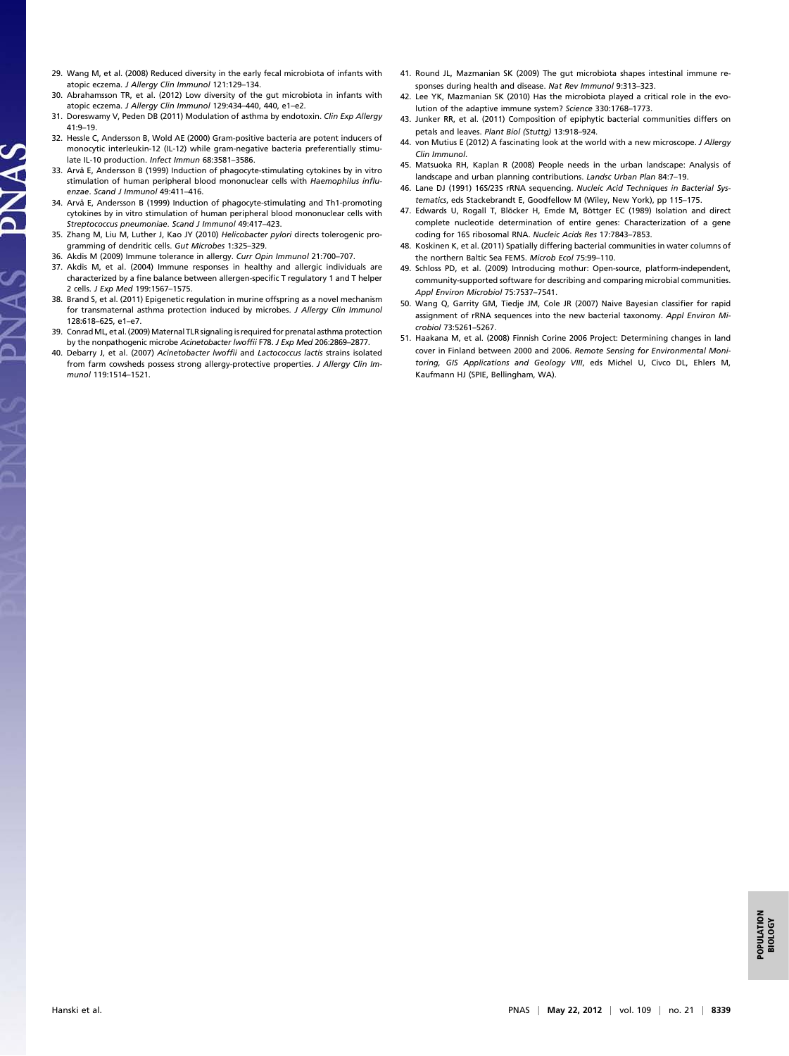- 29. Wang M, et al. (2008) Reduced diversity in the early fecal microbiota of infants with atopic eczema. J Allergy Clin Immunol 121:129–134.
- 30. Abrahamsson TR, et al. (2012) Low diversity of the gut microbiota in infants with atopic eczema. J Allergy Clin Immunol 129:434–440, 440, e1–e2.
- 31. Doreswamy V, Peden DB (2011) Modulation of asthma by endotoxin. Clin Exp Allergy 41:9–19.
- 32. Hessle C, Andersson B, Wold AE (2000) Gram-positive bacteria are potent inducers of monocytic interleukin-12 (IL-12) while gram-negative bacteria preferentially stimulate IL-10 production. Infect Immun 68:3581–3586.
- 33. Arvå E, Andersson B (1999) Induction of phagocyte-stimulating cytokines by in vitro stimulation of human peripheral blood mononuclear cells with Haemophilus influenzae. Scand J Immunol 49:411–416.

JAS

- 34. Arvå E, Andersson B (1999) Induction of phagocyte-stimulating and Th1-promoting cytokines by in vitro stimulation of human peripheral blood mononuclear cells with Streptococcus pneumoniae. Scand J Immunol 49:417–423.
- 35. Zhang M, Liu M, Luther J, Kao JY (2010) Helicobacter pylori directs tolerogenic programming of dendritic cells. Gut Microbes 1:325–329.
- 36. Akdis M (2009) Immune tolerance in allergy. Curr Opin Immunol 21:700–707.
- 37. Akdis M, et al. (2004) Immune responses in healthy and allergic individuals are characterized by a fine balance between allergen-specific T regulatory 1 and T helper 2 cells. J Exp Med 199:1567–1575.
- 38. Brand S, et al. (2011) Epigenetic regulation in murine offspring as a novel mechanism for transmaternal asthma protection induced by microbes. J Allergy Clin Immunol 128:618–625, e1–e7.
- 39. ConradML, et al. (2009) Maternal TLR signaling is required for prenatal asthma protection by the nonpathogenic microbe Acinetobacter lwoffii F78. J Exp Med 206:2869–2877.
- 40. Debarry J, et al. (2007) Acinetobacter lwoffii and Lactococcus lactis strains isolated from farm cowsheds possess strong allergy-protective properties. J Allergy Clin Immunol 119:1514–1521.
- 41. Round JL, Mazmanian SK (2009) The gut microbiota shapes intestinal immune responses during health and disease. Nat Rev Immunol 9:313–323.
- 42. Lee YK, Mazmanian SK (2010) Has the microbiota played a critical role in the evolution of the adaptive immune system? Science 330:1768–1773.
- 43. Junker RR, et al. (2011) Composition of epiphytic bacterial communities differs on petals and leaves. Plant Biol (Stuttg) 13:918–924.
- 44. von Mutius E (2012) A fascinating look at the world with a new microscope. J Allergy Clin Immunol.
- 45. Matsuoka RH, Kaplan R (2008) People needs in the urban landscape: Analysis of landscape and urban planning contributions. Landsc Urban Plan 84:7–19.
- 46. Lane DJ (1991) 16S/23S rRNA sequencing. Nucleic Acid Techniques in Bacterial Systematics, eds Stackebrandt E, Goodfellow M (Wiley, New York), pp 115–175.
- 47. Edwards U, Rogall T, Blöcker H, Emde M, Böttger EC (1989) Isolation and direct complete nucleotide determination of entire genes: Characterization of a gene coding for 16S ribosomal RNA. Nucleic Acids Res 17:7843–7853.
- 48. Koskinen K, et al. (2011) Spatially differing bacterial communities in water columns of the northern Baltic Sea FEMS. Microb Ecol 75:99–110.
- 49. Schloss PD, et al. (2009) Introducing mothur: Open-source, platform-independent, community-supported software for describing and comparing microbial communities. Appl Environ Microbiol 75:7537–7541.
- 50. Wang Q, Garrity GM, Tiedje JM, Cole JR (2007) Naive Bayesian classifier for rapid assignment of rRNA sequences into the new bacterial taxonomy. Appl Environ Microbiol 73:5261–5267.
- 51. Haakana M, et al. (2008) Finnish Corine 2006 Project: Determining changes in land cover in Finland between 2000 and 2006. Remote Sensing for Environmental Monitoring, GIS Applications and Geology VIII, eds Michel U, Civco DL, Ehlers M, Kaufmann HJ (SPIE, Bellingham, WA).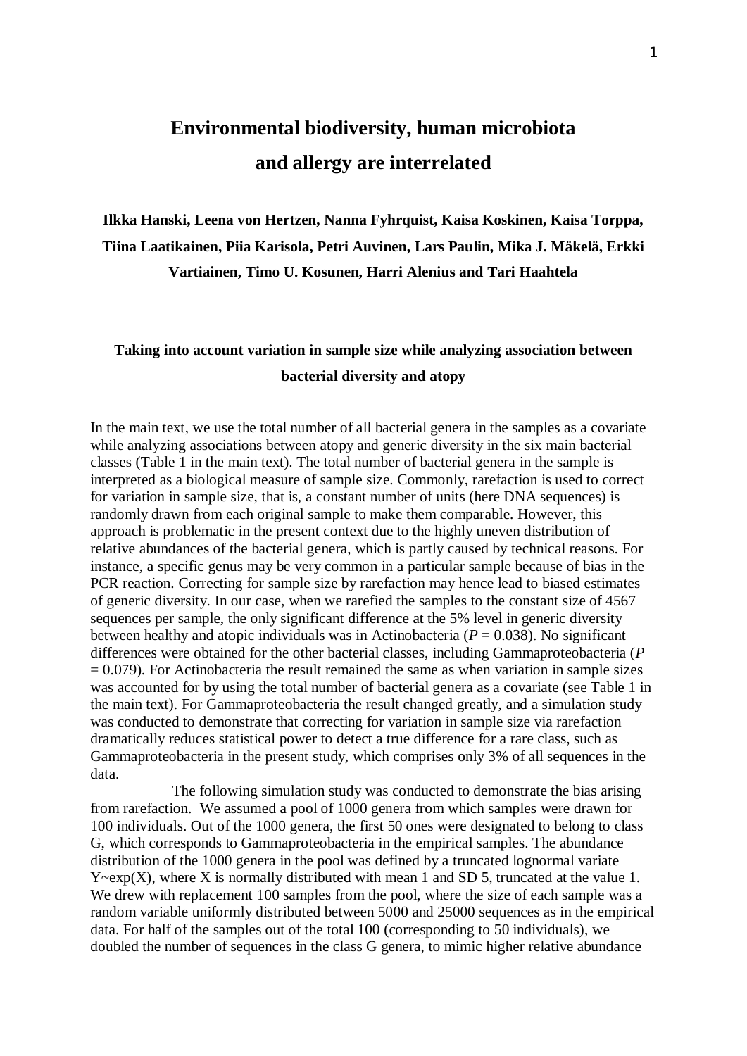## **Environmental biodiversity, human microbiota and allergy are interrelated**

**Ilkka Hanski, Leena von Hertzen, Nanna Fyhrquist, Kaisa Koskinen, Kaisa Torppa, Tiina Laatikainen, Piia Karisola, Petri Auvinen, Lars Paulin, Mika J. Mäkelä, Erkki Vartiainen, Timo U. Kosunen, Harri Alenius and Tari Haahtela** 

### **Taking into account variation in sample size while analyzing association between bacterial diversity and atopy**

In the main text, we use the total number of all bacterial genera in the samples as a covariate while analyzing associations between atopy and generic diversity in the six main bacterial classes (Table 1 in the main text). The total number of bacterial genera in the sample is interpreted as a biological measure of sample size. Commonly, rarefaction is used to correct for variation in sample size, that is, a constant number of units (here DNA sequences) is randomly drawn from each original sample to make them comparable. However, this approach is problematic in the present context due to the highly uneven distribution of relative abundances of the bacterial genera, which is partly caused by technical reasons. For instance, a specific genus may be very common in a particular sample because of bias in the PCR reaction. Correcting for sample size by rarefaction may hence lead to biased estimates of generic diversity. In our case, when we rarefied the samples to the constant size of 4567 sequences per sample, the only significant difference at the 5% level in generic diversity between healthy and atopic individuals was in Actinobacteria ( $P = 0.038$ ). No significant differences were obtained for the other bacterial classes, including Gammaproteobacteria (*P*   $= 0.079$ ). For Actinobacteria the result remained the same as when variation in sample sizes was accounted for by using the total number of bacterial genera as a covariate (see Table 1 in the main text). For Gammaproteobacteria the result changed greatly, and a simulation study was conducted to demonstrate that correcting for variation in sample size via rarefaction dramatically reduces statistical power to detect a true difference for a rare class, such as Gammaproteobacteria in the present study, which comprises only 3% of all sequences in the data.

The following simulation study was conducted to demonstrate the bias arising from rarefaction. We assumed a pool of 1000 genera from which samples were drawn for 100 individuals. Out of the 1000 genera, the first 50 ones were designated to belong to class G, which corresponds to Gammaproteobacteria in the empirical samples. The abundance distribution of the 1000 genera in the pool was defined by a truncated lognormal variate  $Y \sim exp(X)$ , where X is normally distributed with mean 1 and SD 5, truncated at the value 1. We drew with replacement 100 samples from the pool, where the size of each sample was a random variable uniformly distributed between 5000 and 25000 sequences as in the empirical data. For half of the samples out of the total 100 (corresponding to 50 individuals), we doubled the number of sequences in the class G genera, to mimic higher relative abundance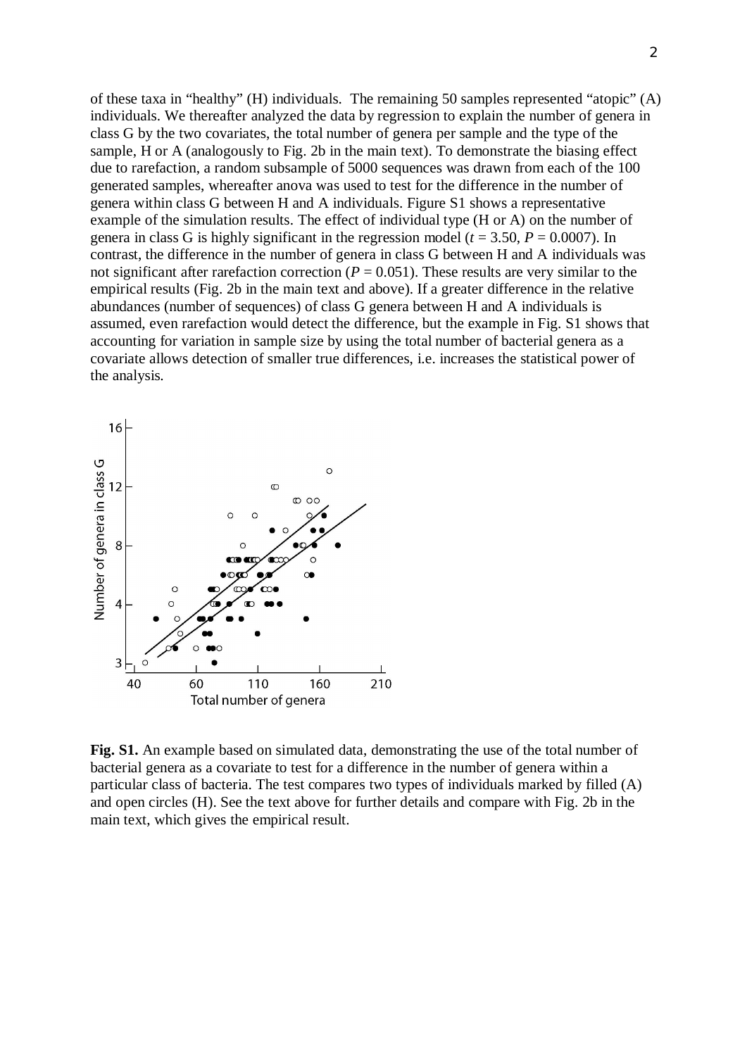of these taxa in "healthy" (H) individuals. The remaining 50 samples represented "atopic" (A) individuals. We thereafter analyzed the data by regression to explain the number of genera in class G by the two covariates, the total number of genera per sample and the type of the sample, H or A (analogously to Fig. 2b in the main text). To demonstrate the biasing effect due to rarefaction, a random subsample of 5000 sequences was drawn from each of the 100 generated samples, whereafter anova was used to test for the difference in the number of genera within class G between H and A individuals. Figure S1 shows a representative example of the simulation results. The effect of individual type (H or A) on the number of genera in class G is highly significant in the regression model ( $t = 3.50$ ,  $P = 0.0007$ ). In contrast, the difference in the number of genera in class G between H and A individuals was not significant after rarefaction correction ( $P = 0.051$ ). These results are very similar to the empirical results (Fig. 2b in the main text and above). If a greater difference in the relative abundances (number of sequences) of class G genera between H and A individuals is assumed, even rarefaction would detect the difference, but the example in Fig. S1 shows that accounting for variation in sample size by using the total number of bacterial genera as a covariate allows detection of smaller true differences, i.e. increases the statistical power of the analysis.



**Fig. S1.** An example based on simulated data, demonstrating the use of the total number of bacterial genera as a covariate to test for a difference in the number of genera within a particular class of bacteria. The test compares two types of individuals marked by filled (A) and open circles (H). See the text above for further details and compare with Fig. 2b in the main text, which gives the empirical result.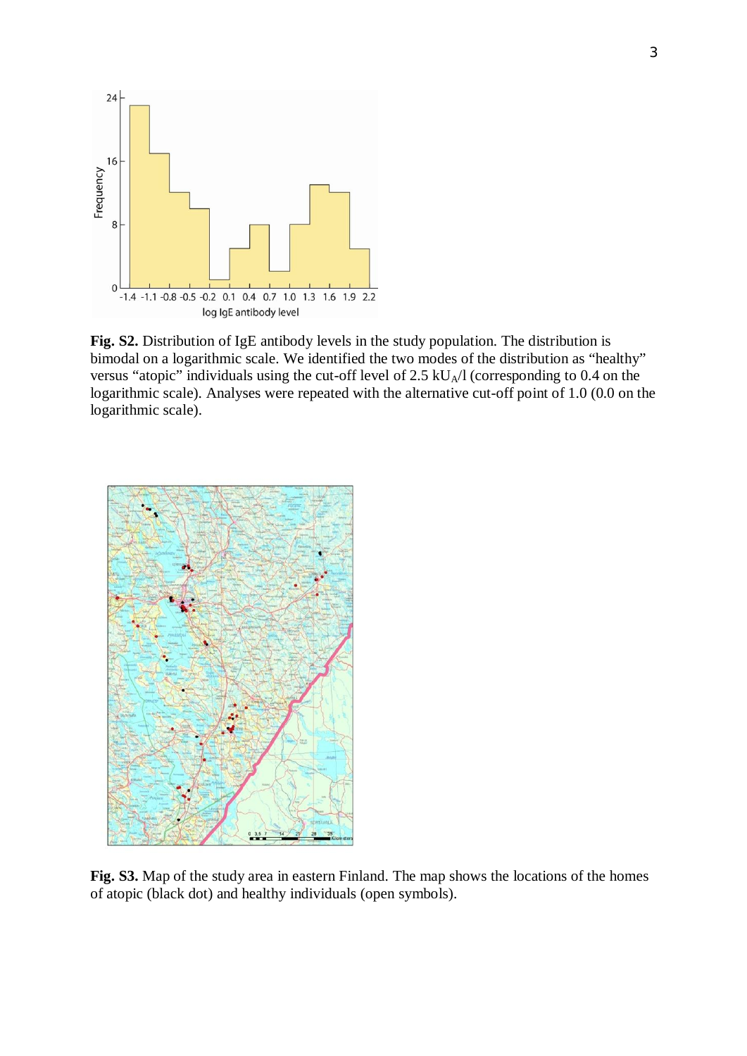

**Fig. S2.** Distribution of IgE antibody levels in the study population. The distribution is bimodal on a logarithmic scale. We identified the two modes of the distribution as "healthy" versus "atopic" individuals using the cut-off level of  $2.5 \text{ kU}_A/1$  (corresponding to 0.4 on the logarithmic scale). Analyses were repeated with the alternative cut-off point of 1.0 (0.0 on the logarithmic scale).



**Fig. S3.** Map of the study area in eastern Finland. The map shows the locations of the homes of atopic (black dot) and healthy individuals (open symbols).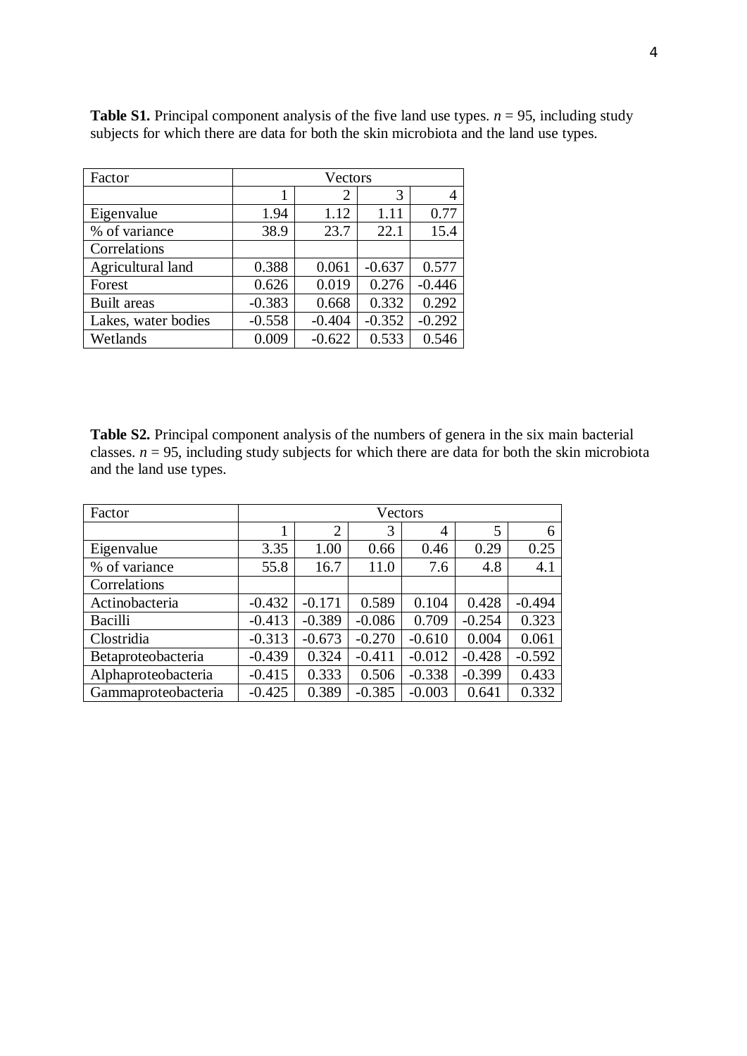| Factor              | Vectors  |                |          |          |  |  |
|---------------------|----------|----------------|----------|----------|--|--|
|                     |          | $\overline{2}$ | 3        |          |  |  |
| Eigenvalue          | 1.94     | 1.12           | 1.11     | 0.77     |  |  |
| % of variance       | 38.9     | 23.7           | 22.1     | 15.4     |  |  |
| Correlations        |          |                |          |          |  |  |
| Agricultural land   | 0.388    | 0.061          | $-0.637$ | 0.577    |  |  |
| Forest              | 0.626    | 0.019          | 0.276    | $-0.446$ |  |  |
| <b>Built</b> areas  | $-0.383$ | 0.668          | 0.332    | 0.292    |  |  |
| Lakes, water bodies | $-0.558$ | $-0.404$       | $-0.352$ | $-0.292$ |  |  |
| Wetlands            | 0.009    | $-0.622$       | 0.533    | 0.546    |  |  |

**Table S1.** Principal component analysis of the five land use types.  $n = 95$ , including study subjects for which there are data for both the skin microbiota and the land use types.

**Table S2.** Principal component analysis of the numbers of genera in the six main bacterial classes.  $n = 95$ , including study subjects for which there are data for both the skin microbiota and the land use types.

| Factor              | Vectors  |                |          |          |          |          |  |
|---------------------|----------|----------------|----------|----------|----------|----------|--|
|                     |          | $\overline{2}$ | 3        | 4        | 5        | 6        |  |
| Eigenvalue          | 3.35     | 1.00           | 0.66     | 0.46     | 0.29     | 0.25     |  |
| % of variance       | 55.8     | 16.7           | 11.0     | 7.6      | 4.8      | 4.1      |  |
| Correlations        |          |                |          |          |          |          |  |
| Actinobacteria      | $-0.432$ | $-0.171$       | 0.589    | 0.104    | 0.428    | $-0.494$ |  |
| Bacilli             | $-0.413$ | $-0.389$       | $-0.086$ | 0.709    | $-0.254$ | 0.323    |  |
| Clostridia          | $-0.313$ | $-0.673$       | $-0.270$ | $-0.610$ | 0.004    | 0.061    |  |
| Betaproteobacteria  | $-0.439$ | 0.324          | $-0.411$ | $-0.012$ | $-0.428$ | $-0.592$ |  |
| Alphaproteobacteria | $-0.415$ | 0.333          | 0.506    | $-0.338$ | $-0.399$ | 0.433    |  |
| Gammaproteobacteria | $-0.425$ | 0.389          | $-0.385$ | $-0.003$ | 0.641    | 0.332    |  |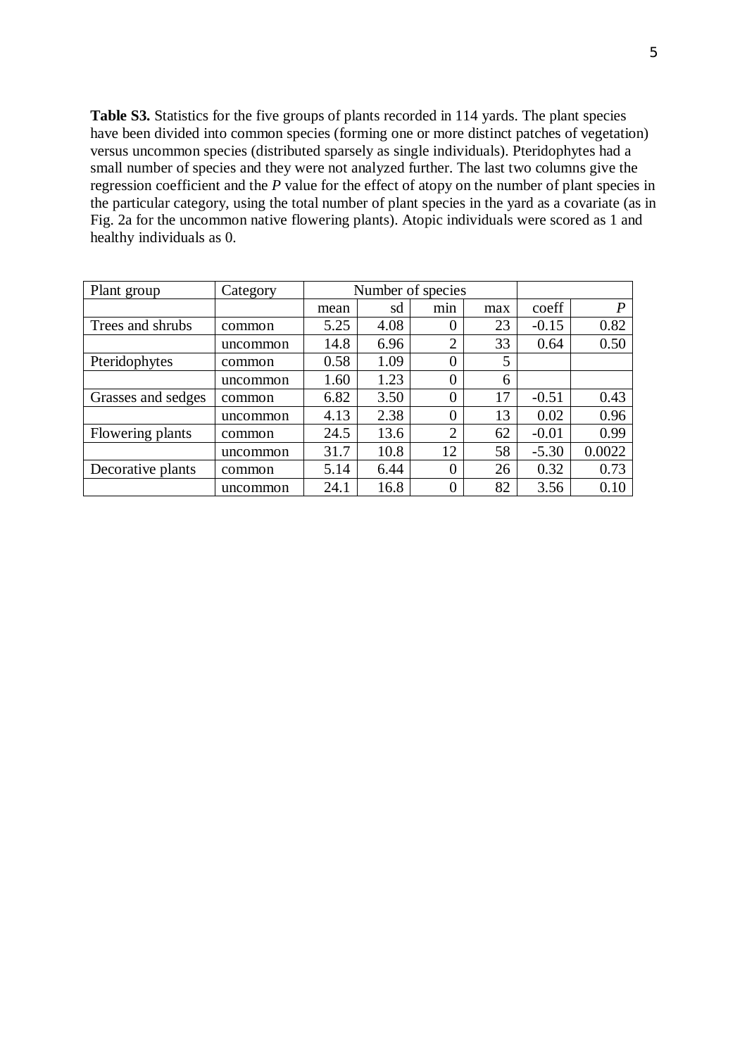**Table S3.** Statistics for the five groups of plants recorded in 114 yards. The plant species have been divided into common species (forming one or more distinct patches of vegetation) versus uncommon species (distributed sparsely as single individuals). Pteridophytes had a small number of species and they were not analyzed further. The last two columns give the regression coefficient and the *P* value for the effect of atopy on the number of plant species in the particular category, using the total number of plant species in the yard as a covariate (as in Fig. 2a for the uncommon native flowering plants). Atopic individuals were scored as 1 and healthy individuals as 0.

| Plant group        | Category | Number of species |      |                |     |         |                  |
|--------------------|----------|-------------------|------|----------------|-----|---------|------------------|
|                    |          | mean              | sd   | min            | max | coeff   | $\boldsymbol{P}$ |
| Trees and shrubs   | common   | 5.25              | 4.08 | 0              | 23  | $-0.15$ | 0.82             |
|                    | uncommon | 14.8              | 6.96 | $\overline{2}$ | 33  | 0.64    | 0.50             |
| Pteridophytes      | common   | 0.58              | 1.09 | $\overline{0}$ | 5   |         |                  |
|                    | uncommon | 1.60              | 1.23 | $\overline{0}$ | 6   |         |                  |
| Grasses and sedges | common   | 6.82              | 3.50 | $\overline{0}$ | 17  | $-0.51$ | 0.43             |
|                    | uncommon | 4.13              | 2.38 | $\overline{0}$ | 13  | 0.02    | 0.96             |
| Flowering plants   | common   | 24.5              | 13.6 | $\overline{2}$ | 62  | $-0.01$ | 0.99             |
|                    | uncommon | 31.7              | 10.8 | 12             | 58  | $-5.30$ | 0.0022           |
| Decorative plants  | common   | 5.14              | 6.44 | $\overline{0}$ | 26  | 0.32    | 0.73             |
|                    | uncommon | 24.1              | 16.8 | $\overline{0}$ | 82  | 3.56    | 0.10             |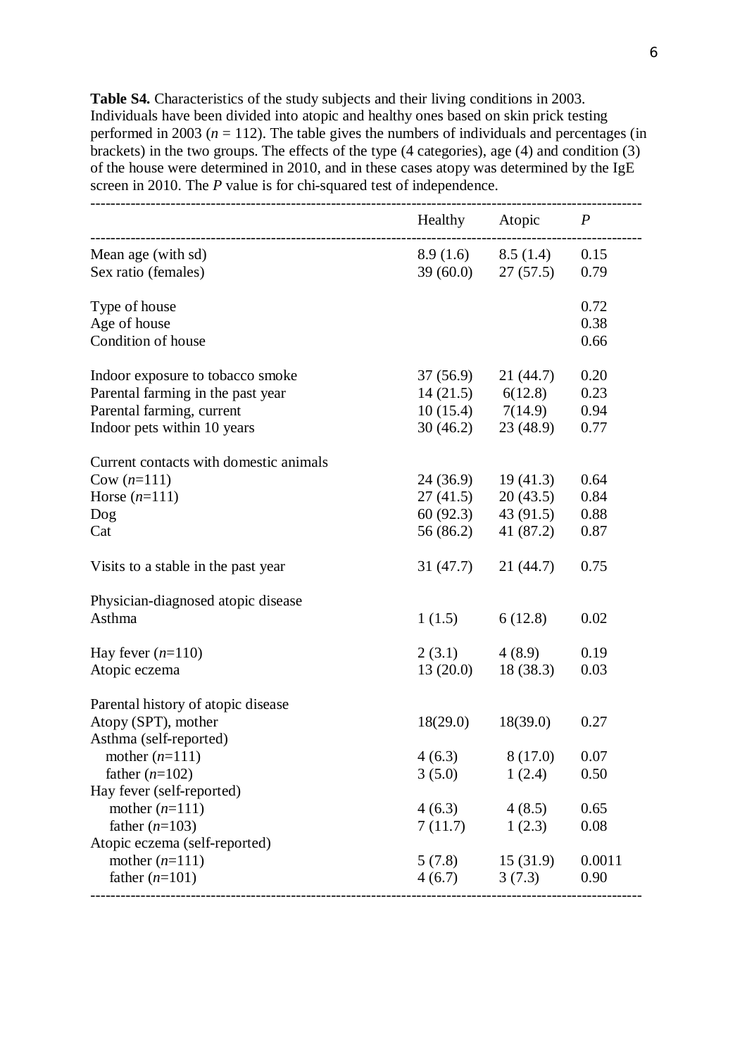**Table S4.** Characteristics of the study subjects and their living conditions in 2003. Individuals have been divided into atopic and healthy ones based on skin prick testing performed in 2003 ( $n = 112$ ). The table gives the numbers of individuals and percentages (in brackets) in the two groups. The effects of the type (4 categories), age (4) and condition  $(3)$ of the house were determined in 2010, and in these cases atopy was determined by the IgE screen in 2010. The *P* value is for chi-squared test of independence.

|                                        |                       | Healthy Atopic $P$    |        |
|----------------------------------------|-----------------------|-----------------------|--------|
| Mean age (with sd)                     |                       | $8.9(1.6)$ $8.5(1.4)$ | 0.15   |
| Sex ratio (females)                    | $39(60.0)$ $27(57.5)$ |                       | 0.79   |
| Type of house                          |                       |                       | 0.72   |
| Age of house                           |                       |                       | 0.38   |
| Condition of house                     |                       |                       | 0.66   |
| Indoor exposure to tobacco smoke       | 37 (56.9)             | 21(44.7)              | 0.20   |
| Parental farming in the past year      | $14(21.5)$ 6(12.8)    |                       | 0.23   |
| Parental farming, current              | $10(15.4)$ $7(14.9)$  |                       | 0.94   |
| Indoor pets within 10 years            | 30(46.2)              | 23(48.9)              | 0.77   |
| Current contacts with domestic animals |                       |                       |        |
| Cow $(n=111)$                          | 24 (36.9)             | 19(41.3)              | 0.64   |
| Horse $(n=111)$                        | 27(41.5)              | 20(43.5)              | 0.84   |
| Dog                                    | 60 (92.3)             | 43(91.5)              | 0.88   |
| Cat                                    | 56 (86.2)             | 41 (87.2)             | 0.87   |
| Visits to a stable in the past year    | 31 (47.7)             | 21(44.7)              | 0.75   |
| Physician-diagnosed atopic disease     |                       |                       |        |
| Asthma                                 | 1(1.5)                | 6(12.8)               | 0.02   |
| Hay fever $(n=110)$                    | 2(3.1)                | 4 (8.9)               | 0.19   |
| Atopic eczema                          | 13(20.0)              | 18(38.3)              | 0.03   |
| Parental history of atopic disease     |                       |                       |        |
| Atopy (SPT), mother                    | 18(29.0)              | 18(39.0)              | 0.27   |
| Asthma (self-reported)                 |                       |                       |        |
| mother $(n=111)$                       | 4(6.3)                | 8 (17.0)              | 0.07   |
| father $(n=102)$                       | 3(5.0)                | 1(2.4)                | 0.50   |
| Hay fever (self-reported)              |                       |                       |        |
| mother $(n=111)$                       | $4(6.3)$ $4(8.5)$     |                       | 0.65   |
| father $(n=103)$                       | 7(11.7)               | 1(2.3)                | 0.08   |
| Atopic eczema (self-reported)          |                       |                       |        |
| mother $(n=111)$                       | $5(7.8)$ $15(31.9)$   |                       | 0.0011 |
| father $(n=101)$                       | $4(6.7)$ $3(7.3)$     |                       | 0.90   |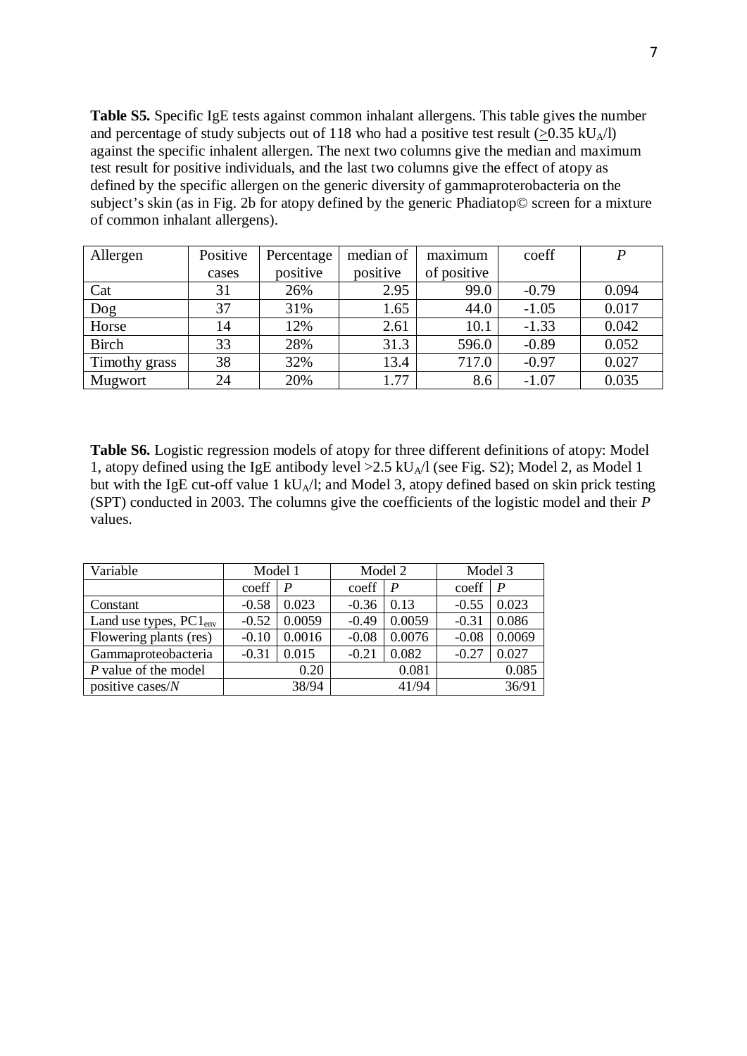**Table S5.** Specific IgE tests against common inhalant allergens. This table gives the number and percentage of study subjects out of 118 who had a positive test result ( $> 0.35$  kU<sub>A</sub>/l) against the specific inhalent allergen. The next two columns give the median and maximum test result for positive individuals, and the last two columns give the effect of atopy as defined by the specific allergen on the generic diversity of gammaproterobacteria on the subject's skin (as in Fig. 2b for atopy defined by the generic Phadiatop© screen for a mixture of common inhalant allergens).

| Allergen      | Positive | Percentage | median of | maximum     | coeff   | P     |
|---------------|----------|------------|-----------|-------------|---------|-------|
|               | cases    | positive   | positive  | of positive |         |       |
| Cat           | 31       | 26%        | 2.95      | 99.0        | $-0.79$ | 0.094 |
| Dog           | 37       | 31%        | 1.65      | 44.0        | $-1.05$ | 0.017 |
| Horse         | 14       | 12%        | 2.61      | 10.1        | $-1.33$ | 0.042 |
| <b>Birch</b>  | 33       | 28%        | 31.3      | 596.0       | $-0.89$ | 0.052 |
| Timothy grass | 38       | 32%        | 13.4      | 717.0       | $-0.97$ | 0.027 |
| Mugwort       | 24       | 20%        | 1.77      | 8.6         | $-1.07$ | 0.035 |

**Table S6.** Logistic regression models of atopy for three different definitions of atopy: Model 1, atopy defined using the IgE antibody level  $>2.5$  kU<sub>A</sub>/l (see Fig. S2); Model 2, as Model 1 but with the IgE cut-off value 1 kU<sub>A</sub>/l; and Model 3, atopy defined based on skin prick testing (SPT) conducted in 2003. The columns give the coefficients of the logistic model and their *P* values.

| Variable                    | Model 1 |                  | Model 2 |          | Model 3 |              |
|-----------------------------|---------|------------------|---------|----------|---------|--------------|
|                             | coeff   | $\boldsymbol{P}$ | coeff   | $\mid P$ | coeff   | $\mathsf{P}$ |
| Constant                    | $-0.58$ | 0.023            | $-0.36$ | 0.13     | $-0.55$ | 0.023        |
| Land use types, $PC1_{env}$ | $-0.52$ | 0.0059           | $-0.49$ | 0.0059   | $-0.31$ | 0.086        |
| Flowering plants (res)      | $-0.10$ | 0.0016           | $-0.08$ | 0.0076   | $-0.08$ | 0.0069       |
| Gammaproteobacteria         | $-0.31$ | 0.015            | $-0.21$ | 0.082    | $-0.27$ | 0.027        |
| P value of the model        |         | 0.20             |         | 0.081    |         | 0.085        |
| positive cases/ $N$         |         | 38/94            |         | 41/94    |         | 36/91        |